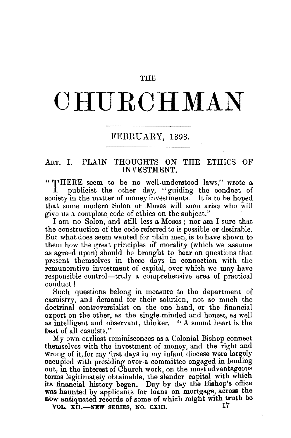## THE

## **CHURCHMAN**

## FEBRUARY, 1898.

## ART. I.-PLAIN THOUGHTS ON THE ETHICS OF INVESTMENT.

"INHERE seem to be no well-understood laws," wrote a publicist the other day, "guiding the conduct of society in the matter of money investments. It is to be hoped that some modern Solon or Moses will soon arise who will give us a complete code of ethics on the subject."

I am no Solon, and still less a Moses ; nor am I sure that the construction of the code referred to is possible or desirable. But what does seem wanted for plain men, is to have shown to them how the great principles of morality (which we assume as agreed upon) should be brought to bear on questions that present themselves in these days in connection with the remunerative investment of capital, over which we may have responsible control—truly a comprehensive area of practical conduct!

Such questions belong in measure to the department of casuistry, and demand for their solution, not so much the doctrinal controversialist on the one hand, or the financial expert on the other, as the single-minded and honest, as well as intelligent and observant, thinker. "A sound heart is the best of all casuists."

My own earliest reminiscences as a Colonial Bishop connect themselves with the investment of money, and the right and wrong of it, for my first days in my infant diocese were largely occupied with presiding over a committee engaged in lending out, in the interest of Church work, on the most advantageous terms legitimately obtainable, the slender capital with which its financial history began. Day by day the Bishop's office was haunted by applicants for loans on mortgage, across the now antiquated records of some of which might with truth be

VOL, XII.-NEW SERIES, NO. CXIII.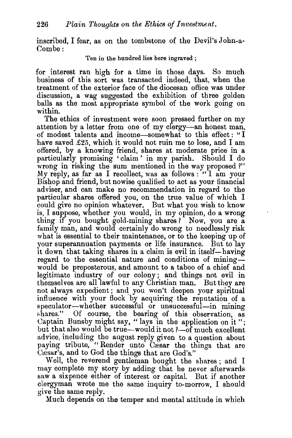inscribed, I fear, as on the tombstone of the Devil's John-a-Com be:

Ten in the hundred lies here ingraved ;

for interest ran high for a time in those days. So much business of this sort was transacted indeed, that, when the treatment of the exterior face of the diocesan office was under discussion, a wag suggested the exhibition of three golden balls as the most appropriate symbol of the work going on within.

The ethics of investment were soon pressed further on my attention by a letter from one of my clergy-an honest man, of modest talents and income-somewhat to this effect: "I have saved £25, which it would not ruin me to lose, and I am offered, by a knowing friend, shares at moderate price in a particularly promising 'claim ' in my parish. Should I do wrong in risking the sum mentioned in the way proposed ?" My reply, as far as I recollect, was as follows: "I am your Bishop and friend, but nowise qualified to act as your financial adviser, and can make no recommendation in regard to the particular shares offered you, on the true value of which I could give no opinion whatever. But what you wish to know is, I suppose, whether you would, in my opinion, do a wrong thing if you bought gold-mining shares? Now, you are a family man, and would certainly do wrong to needlessly risk what is essential to their maintenance, or to the keeping up of your superannuation payments or life insurance. But to lay it down that taking shares in a claim is evil in itself—having regard to the essential nature and conditions of miningwould be preposterous, and amount to a taboo of a chief and legitimate industry of our colony ; and things not evil in themselves are all lawful to any Christian man. But they are not always expedient; and you won't deepen your spiritual influence with your flock by acquiring the reputation of a speculator-whether successful or unsuccessful-in mining shares." Of course, the bearing of this observation, as Captain Bunsby might say, "lays in the application on it "; but that also would be true-would it not ?- of much excellent advice, including the august reply given to a question about paying tribute, "Render unto Cæsar the things that are Cæsar's, and to God the things that are God's."

Well, the reverend gentleman bought the shares ; and I may complete my story by adding that he never afterwards saw a sixpence either of interest or capital. But if another clergyman wrote me the same inquiry to-morrow, I should give the same reply.

Much depends on the temper and mental attitude in which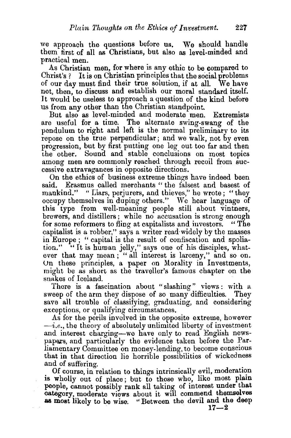we approach the questions before us. We should handle them tirst of all as Christians, but also as level-minded and practical men.

As Christian men, for where is any ethic to be compared to Christ's ? It is on Christian principles that the social problems of our day must find their true solution, if at all. We have not, then, to discuss and establish our moral standard itself. It would be useless to approach a question of the kind before us from any other than the Christian standpoint.

But also as level-minded and moderate men. Extremists are useful for a time. The alternate swing-swang of the pendulum to right and left is the normal preliminary to its repose on the true perpendicular ; and we walk, not by even progression, but by first putting one leg out too far and then the other. Sound and stable conclusions on most topics among men are commonly reached through recoil from successive extravagances in opposite directions.

On the ethics of business extreme things have indeed been said. Erasmus called merchants " the falsest and basest of mankind." " Liars, perjurers, and thieves," he wrote; "they occupy themselves in duping others." We hear language of this type from well-meaning people still about vintners, brewers, and distillers; while no accusation is strong enough for some reformers to fling at capitalists and investors. " The capitalist is a robber," says a writer read· widely by the masses in Europe ; " capital is the result of confiscation and spoliation." "It is human jelly," says one of his disciples, whatever that may mean; "all interest is larceny," and so on. Un these principles, a paper on Morality in Investments, might be as short as the traveller's famous chapter on the snakes of Iceland.

There is a fascination about "slashing" views : with a sweep of the arm they dispose of so many difficulties. They save all trouble of classifying, graduating, and considering exceptions, or qualifying circumstances.

As for the perils involved in the opposite extreme, however  $-i.e.,$  the theory of absolutely unlimited liberty of investment and interest charging-we have only to read English newspapers, and particularly the evidence taken before the Parliamentary Committee on money-lending, to become conscious that in that direction lie horrible possibilities of wickedness

and of suffering.<br>Of course, in relation to things intrinsically evil, moderation is wholly out of place; but to those who, like most plain people, cannot possibly rank all taking of interest under that category, moderate views about it will commend themselves as most likely to be wise. "Between the devil and the deep  $17-2$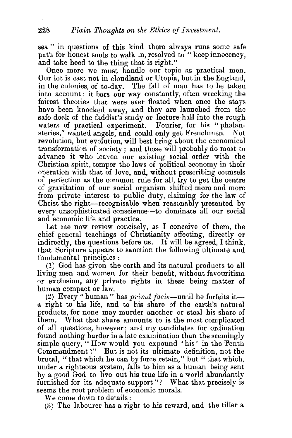sea" in questions of this kind there always runs some safe path for honest souls to walk in, resolved to "keep innocency. and take heed to the thing that is right."

Once more we must handle our topic as practical men. Our lot is cast not in cloudland or Utopia, but in the England, in the colonies, of to-day. The fall of man has to be taken into account: it bars our way constantly, often wrecking the fairest theories that were ever floated when once the stays have been knocked away, and they are launched from the safe dock of the faddist's study or lecture-hall into the rough waters of practical experiment. Fourier, for his "phalansteries," wanted angels, and could only get Frenchmen. Not revolution, but evolution, will best bring about the economical transformation of society ; and those will probably do most to advance it who leaven our existing social order with the Christian spirit, temper the laws of political economy in their operation with that of love, and, without prescribing counsels of perfection as the common rule for all, try to get the centre of gravitation of our social organism shifted more and more from private interest to public duty, claiming for the law of Christ the right-recognisable when reasonably presented by every unsophisticated conscience-to dominate all our social and economic life and practice.

Let me now review concisely, as I conceive of them, the chief general teachings of Christianity affecting, directly or indirectly, the questions before us. It will be agreed, I think, that Scripture appears to sanction the following ultimate and fundamental principles :

(I) God has given the earth and its natural products to all living men and women for their benefit, without favouritism or exclusion, any private rights in these being matter of human compact or law.

(2) Every " human" has  $prim\hat{d}$  facie-until he forfeits ita right to his life, and to his share of the earth's natural products, for none may murder another or steal his share of them. What that share amounts to is the most complicated of all questions, however; and my candidates for ordination found nothing harder in a late examination than the seemingly simple query, "How would you expound 'his' in the Tenth Commandment ?" But is not its ultimate definition, not the brutal, "that which he can by force retain," but "that which, under a righteous system, falls to him as a human being sent by a good God to live out his true life in a world abundantly furnished for its adequate support"? What that precisely is seems the root problem of economic morals.

We come down to details :

(3) The labourer has a right to his reward, and the tiller a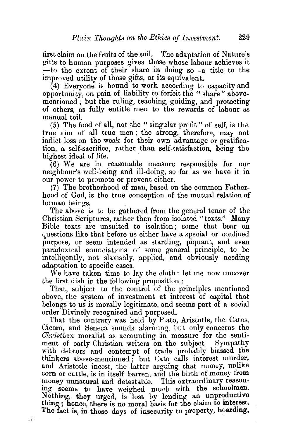first claim on the fruits of the soil. The adaptation of Nature's gifts to human purposes gives those whose labour achieves it  $-$ to the extent of their share in doing so-a title to the improved utility of those gifts, or its equivalent.

 $(4)$  Everyone is bound to work according to capacity and opportunity, on pain of liability to forfeit the " share" abovementioned: but the ruling, teaching, guiding, and protecting of others, as fully entitle men to the rewards of labour as manual toiL

(5) The food of all, not the "singular profit" of self, is the true aim of all true men ; the strong, therefore, may not inflict loss on the weak for their own advantage or gratification, a self-sacrifice, rather than self-satisfaction, being the highest ideal of life.

(6) We are in reasonable measure responsible for our neighbour's well-being and ill-doing, so far as we have it in our power to promote or prevent either.

(7) The brotherhood of man, based on the common Fatherhood of God, is the true conception of the mutual relation of human beings. .

The above is to be gathered from the general tenor of the Christian Scriptures, rather than from isolated "texts." Many Bible texts are unsuited to isolation; some that bear on questions like that before us either have a special or confined purpose, or seem intended as startling, piquant, and even paradoxical enunciations of some general principle, to be intelligently, not slavishly, applied, and obviously needing adaptation to specific cases.

We have taken time to lay the cloth: let me now uncover the first dish in the following proposition :

That, subject to the control of the principles mentioned above, the system of investment at interest of capital that belongs to us is morally legitimate, and seems part of a social order Divinely recognised and purposed.

That the contrary was held by Plato, Aristotle, the Catos, Cicero, and Seneca sounds alarming, but only concerns the *Ohristian* moralist as accounting in measure for the sentiment of early Christian writers on the subject. Sympathy with debtors and contempt of trade probably biassed the  $thinkers$  above-mentioned; but Cato calls interest murder, and Aristotle incest, the latter arguing that money, unlike corn or cattle, is in itself barren, and the birth of money from money unnatural and detestable. This extraordinary reasoning seems to have weighed much with the schoolmen. Nothing, they urged, is lost by lending an unproductive thing ; hence, there is no moral basis for the claim to interest. The fact is, in those days of insecurity to property, hoarding,

W.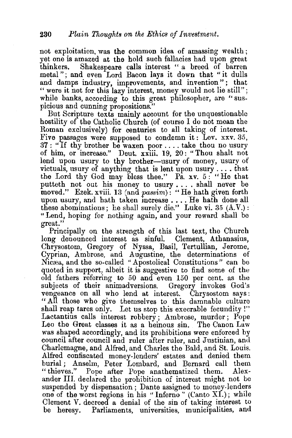not exploitation, was the common idea of amassing wealth ; yet one is amazed at the hold such fallacies had upon great<br>thinkers. Shakespeare calls interest "a breed of barren Shakespeare calls interest " a breed of barren metal "; and even Lord Bacon lays it down that "it dulls and damps industry, improvements, and invention"; that " were it not for this lazy interest, money would not lie still"; while banks, according to this great philosopher, are "suspicious and cunning propositions."

But Scripture texts mainly account for the unquestionable hostility of the Catholic Church (of course I do not mean the Roman exclusively) for centuries to all taking of interest. Five passages were supposed to condemn it: Lev. xxv. 35, 37 : " If thy brother be waxen poor .... take thou no usury of him, or increase." Deut. xxiii. 19, 20: "Thou shalt not lend upon usury to thy brother-usury of money, usury of victuals, usury of anything that is lent upon usury  $\dots$  that the Lord thy God may bless thee." Ps. xv. 5 : "He that putteth not out his money to usury .... shall never be moved." Ezek. xviii. 13 (and *passim*): "He hath given forth upon usury, and hath taken increase . . . . He hath done all these abominations; he shall surely die." Luke vi. 35  $(A.V.):$ "Lend, hoping for nothing again, and your reward shall be great."

Principally on the strength of this last text, the Church long denounced interest as sinful. Clement, Athanasius, Chrysostom, Gregory of Nyssa, Basil, Tertullian, Jerome, Cyprian, Ambrose, and Augustine, the determinations of Nicæa, and the so-called "Apostolical Constitutions" can be quoted in support, albeit it is suggestive to find some of the old fathers referring to 50 and even 150 per cent. as the subjects of their animadversions. Gregory invokes God's vengeance on all who lend at interest. Chrysostom says: "All those who give themselves to this damnable culture shall reap tares only. Let us stop this execrable fecundity!" Lactantius calls interest robbery ; Ambrose, murder ; Pope Leo the Great classes it as a heinous sin. The Canon Law was shaped accordingly, and its prohibitions were enforced by council after council and ruler after ruler, and Justinian, and Charlemagne, and Alfred, and Charles the Bald, and St. Louis. Alfred confiscated money-lenders' estates and denied them burial; Anselm, Peter Lombard, and Bernard call them "thieves." Pope after Pope anathematized them. Alexander III. declared the prohibition of interest might not be suspended by dispensation; Dante assigned to money-lenders one of the worst regions in his "Inferno" (Canto XI.); while Clement V. decreed a denial of the sin of taking interest to be heresy. Parliaments, universities, municipalities, and